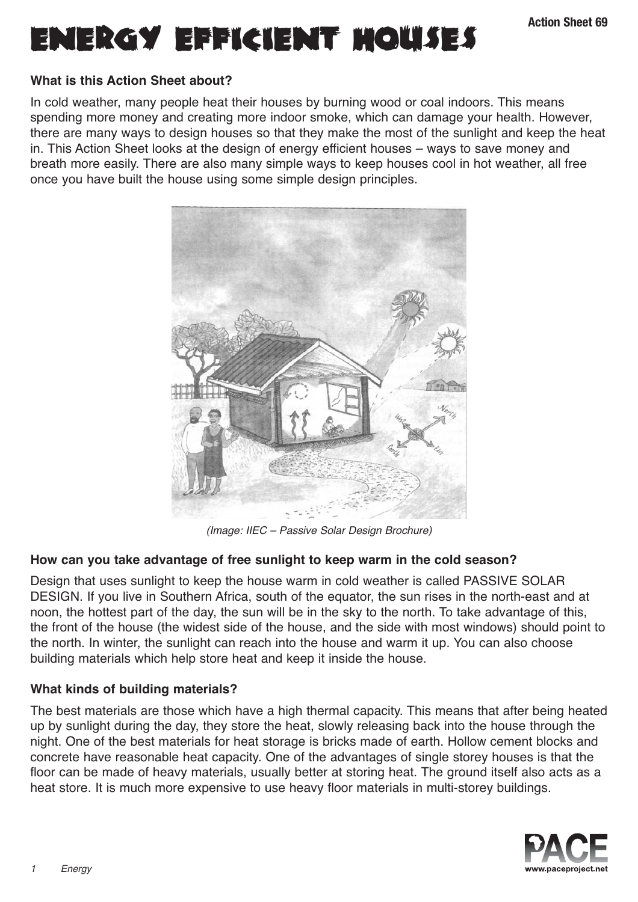# ENERGY EFFICIENT MOUSES

## **What is this Action Sheet about?**

In cold weather, many people heat their houses by burning wood or coal indoors. This means spending more money and creating more indoor smoke, which can damage your health. However, there are many ways to design houses so that they make the most of the sunlight and keep the heat in. This Action Sheet looks at the design of energy efficient houses – ways to save money and breath more easily. There are also many simple ways to keep houses cool in hot weather, all free once you have built the house using some simple design principles.



(Image: IIEC – Passive Solar Design Brochure)

## **How can you take advantage of free sunlight to keep warm in the cold season?**

Design that uses sunlight to keep the house warm in cold weather is called PASSIVE SOLAR DESIGN. If you live in Southern Africa, south of the equator, the sun rises in the north-east and at noon, the hottest part of the day, the sun will be in the sky to the north. To take advantage of this, the front of the house (the widest side of the house, and the side with most windows) should point to the north. In winter, the sunlight can reach into the house and warm it up. You can also choose building materials which help store heat and keep it inside the house.

## **What kinds of building materials?**

The best materials are those which have a high thermal capacity. This means that after being heated up by sunlight during the day, they store the heat, slowly releasing back into the house through the night. One of the best materials for heat storage is bricks made of earth. Hollow cement blocks and concrete have reasonable heat capacity. One of the advantages of single storey houses is that the floor can be made of heavy materials, usually better at storing heat. The ground itself also acts as a heat store. It is much more expensive to use heavy floor materials in multi-storey buildings.

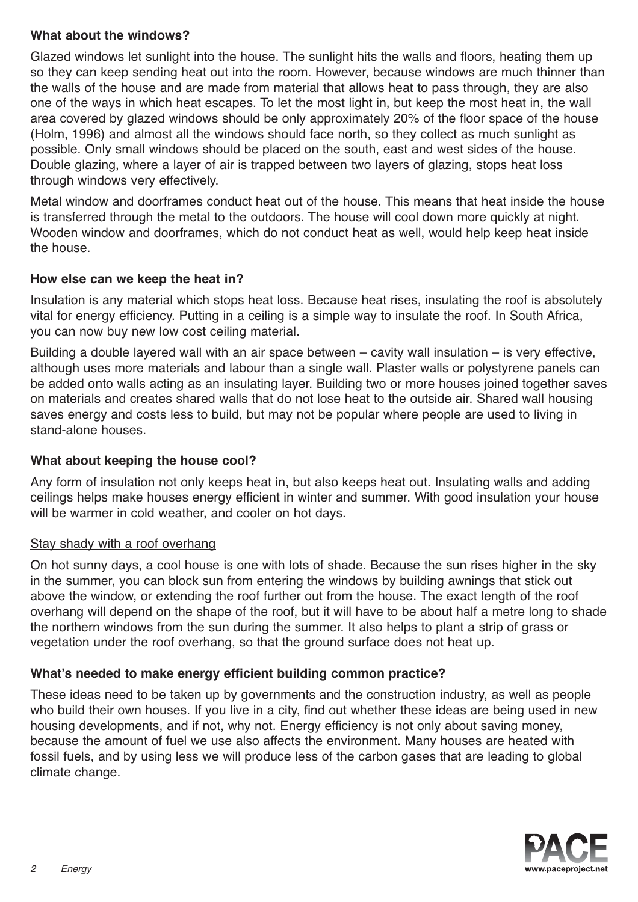## **What about the windows?**

Glazed windows let sunlight into the house. The sunlight hits the walls and floors, heating them up so they can keep sending heat out into the room. However, because windows are much thinner than the walls of the house and are made from material that allows heat to pass through, they are also one of the ways in which heat escapes. To let the most light in, but keep the most heat in, the wall area covered by glazed windows should be only approximately 20% of the floor space of the house (Holm, 1996) and almost all the windows should face north, so they collect as much sunlight as possible. Only small windows should be placed on the south, east and west sides of the house. Double glazing, where a layer of air is trapped between two layers of glazing, stops heat loss through windows very effectively.

Metal window and doorframes conduct heat out of the house. This means that heat inside the house is transferred through the metal to the outdoors. The house will cool down more quickly at night. Wooden window and doorframes, which do not conduct heat as well, would help keep heat inside the house.

#### **How else can we keep the heat in?**

Insulation is any material which stops heat loss. Because heat rises, insulating the roof is absolutely vital for energy efficiency. Putting in a ceiling is a simple way to insulate the roof. In South Africa, you can now buy new low cost ceiling material.

Building a double layered wall with an air space between – cavity wall insulation – is very effective, although uses more materials and labour than a single wall. Plaster walls or polystyrene panels can be added onto walls acting as an insulating layer. Building two or more houses joined together saves on materials and creates shared walls that do not lose heat to the outside air. Shared wall housing saves energy and costs less to build, but may not be popular where people are used to living in stand-alone houses.

## **What about keeping the house cool?**

Any form of insulation not only keeps heat in, but also keeps heat out. Insulating walls and adding ceilings helps make houses energy efficient in winter and summer. With good insulation your house will be warmer in cold weather, and cooler on hot days.

#### Stay shady with a roof overhang

On hot sunny days, a cool house is one with lots of shade. Because the sun rises higher in the sky in the summer, you can block sun from entering the windows by building awnings that stick out above the window, or extending the roof further out from the house. The exact length of the roof overhang will depend on the shape of the roof, but it will have to be about half a metre long to shade the northern windows from the sun during the summer. It also helps to plant a strip of grass or vegetation under the roof overhang, so that the ground surface does not heat up.

## **What's needed to make energy efficient building common practice?**

These ideas need to be taken up by governments and the construction industry, as well as people who build their own houses. If you live in a city, find out whether these ideas are being used in new housing developments, and if not, why not. Energy efficiency is not only about saving money, because the amount of fuel we use also affects the environment. Many houses are heated with fossil fuels, and by using less we will produce less of the carbon gases that are leading to global climate change.